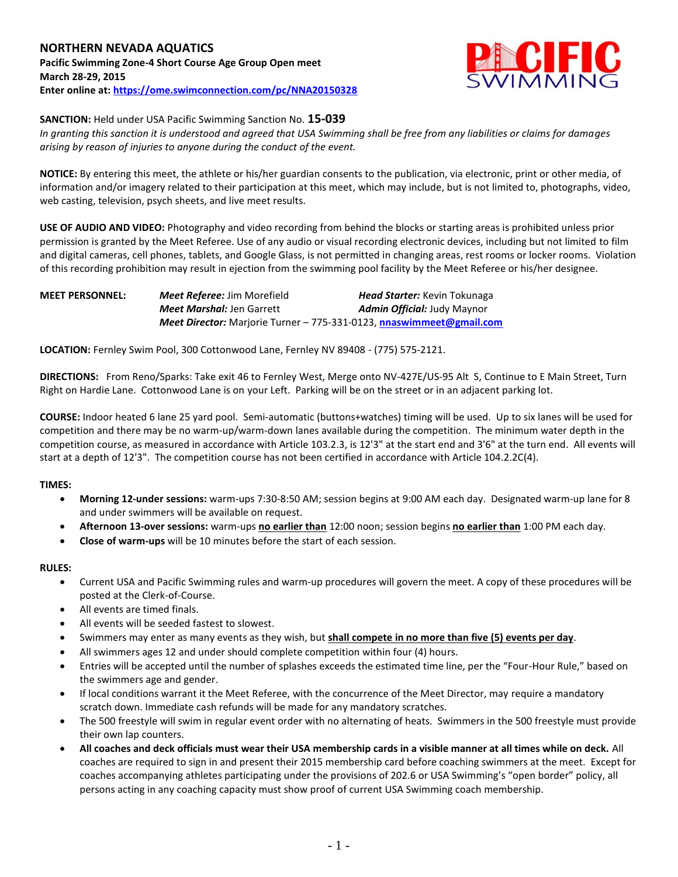

# **SANCTION:** Held under USA Pacific Swimming Sanction No. **15-039**

*In granting this sanction it is understood and agreed that USA Swimming shall be free from any liabilities or claims for damages arising by reason of injuries to anyone during the conduct of the event.*

**NOTICE:** By entering this meet, the athlete or his/her guardian consents to the publication, via electronic, print or other media, of information and/or imagery related to their participation at this meet, which may include, but is not limited to, photographs, video, web casting, television, psych sheets, and live meet results.

**USE OF AUDIO AND VIDEO:** Photography and video recording from behind the blocks or starting areas is prohibited unless prior permission is granted by the Meet Referee. Use of any audio or visual recording electronic devices, including but not limited to film and digital cameras, cell phones, tablets, and Google Glass, is not permitted in changing areas, rest rooms or locker rooms. Violation of this recording prohibition may result in ejection from the swimming pool facility by the Meet Referee or his/her designee.

| <b>MEET PERSONNEL:</b> | <b>Meet Referee: Jim Morefield</b>                                          | <b>Head Starter:</b> Kevin Tokunaga |
|------------------------|-----------------------------------------------------------------------------|-------------------------------------|
|                        | <b>Meet Marshal: Jen Garrett</b>                                            | <b>Admin Official: Judy Maynor</b>  |
|                        | <b>Meet Director:</b> Marjorie Turner – 775-331-0123, nnaswimmeet@gmail.com |                                     |

**LOCATION:** Fernley Swim Pool, 300 Cottonwood Lane, Fernley NV 89408 - (775) 575-2121.

**DIRECTIONS:** From Reno/Sparks: Take exit 46 to Fernley West, Merge onto NV-427E/US-95 Alt S, Continue to E Main Street, Turn Right on Hardie Lane. Cottonwood Lane is on your Left. Parking will be on the street or in an adjacent parking lot.

**COURSE:** Indoor heated 6 lane 25 yard pool. Semi-automatic (buttons+watches) timing will be used. Up to six lanes will be used for competition and there may be no warm-up/warm-down lanes available during the competition. The minimum water depth in the competition course, as measured in accordance with Article 103.2.3, is 12'3" at the start end and 3'6" at the turn end. All events will start at a depth of 12'3". The competition course has not been certified in accordance with Article 104.2.2C(4).

# **TIMES:**

- **Morning 12-under sessions:** warm-ups 7:30-8:50 AM; session begins at 9:00 AM each day. Designated warm-up lane for 8 and under swimmers will be available on request.
- **Afternoon 13-over sessions:** warm-ups **no earlier than** 12:00 noon; session begins **no earlier than** 1:00 PM each day.
- **Close of warm-ups** will be 10 minutes before the start of each session.

#### **RULES:**

- Current USA and Pacific Swimming rules and warm-up procedures will govern the meet. A copy of these procedures will be posted at the Clerk-of-Course.
- All events are timed finals.
- All events will be seeded fastest to slowest.
- Swimmers may enter as many events as they wish, but **shall compete in no more than five (5) events per day**.
- All swimmers ages 12 and under should complete competition within four (4) hours.
- Entries will be accepted until the number of splashes exceeds the estimated time line, per the "Four-Hour Rule," based on the swimmers age and gender.
- If local conditions warrant it the Meet Referee, with the concurrence of the Meet Director, may require a mandatory scratch down. Immediate cash refunds will be made for any mandatory scratches.
- The 500 freestyle will swim in regular event order with no alternating of heats. Swimmers in the 500 freestyle must provide their own lap counters.
- **All coaches and deck officials must wear their USA membership cards in a visible manner at all times while on deck.** All coaches are required to sign in and present their 2015 membership card before coaching swimmers at the meet. Except for coaches accompanying athletes participating under the provisions of 202.6 or USA Swimming's "open border" policy, all persons acting in any coaching capacity must show proof of current USA Swimming coach membership.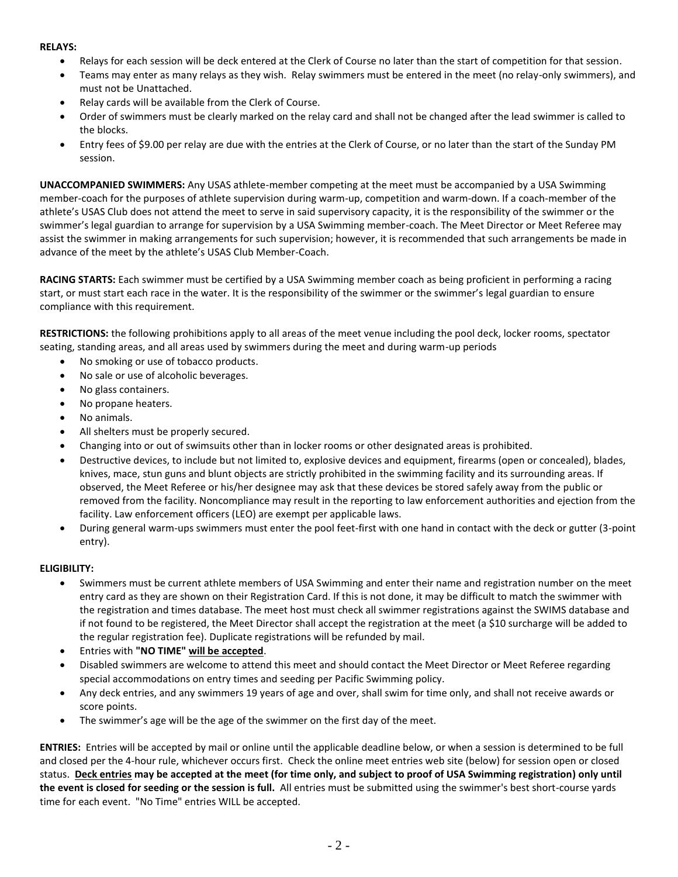# **RELAYS:**

- Relays for each session will be deck entered at the Clerk of Course no later than the start of competition for that session.
- Teams may enter as many relays as they wish. Relay swimmers must be entered in the meet (no relay-only swimmers), and must not be Unattached.
- Relay cards will be available from the Clerk of Course.
- Order of swimmers must be clearly marked on the relay card and shall not be changed after the lead swimmer is called to the blocks.
- Entry fees of \$9.00 per relay are due with the entries at the Clerk of Course, or no later than the start of the Sunday PM session.

**UNACCOMPANIED SWIMMERS:** Any USAS athlete-member competing at the meet must be accompanied by a USA Swimming member-coach for the purposes of athlete supervision during warm-up, competition and warm-down. If a coach-member of the athlete's USAS Club does not attend the meet to serve in said supervisory capacity, it is the responsibility of the swimmer or the swimmer's legal guardian to arrange for supervision by a USA Swimming member-coach. The Meet Director or Meet Referee may assist the swimmer in making arrangements for such supervision; however, it is recommended that such arrangements be made in advance of the meet by the athlete's USAS Club Member-Coach.

**RACING STARTS:** Each swimmer must be certified by a USA Swimming member coach as being proficient in performing a racing start, or must start each race in the water. It is the responsibility of the swimmer or the swimmer's legal guardian to ensure compliance with this requirement.

**RESTRICTIONS:** the following prohibitions apply to all areas of the meet venue including the pool deck, locker rooms, spectator seating, standing areas, and all areas used by swimmers during the meet and during warm-up periods

- No smoking or use of tobacco products.
- No sale or use of alcoholic beverages.
- No glass containers.
- No propane heaters.
- No animals.
- All shelters must be properly secured.
- Changing into or out of swimsuits other than in locker rooms or other designated areas is prohibited.
- Destructive devices, to include but not limited to, explosive devices and equipment, firearms (open or concealed), blades, knives, mace, stun guns and blunt objects are strictly prohibited in the swimming facility and its surrounding areas. If observed, the Meet Referee or his/her designee may ask that these devices be stored safely away from the public or removed from the facility. Noncompliance may result in the reporting to law enforcement authorities and ejection from the facility. Law enforcement officers (LEO) are exempt per applicable laws.
- During general warm-ups swimmers must enter the pool feet-first with one hand in contact with the deck or gutter (3-point entry).

# **ELIGIBILITY:**

- Swimmers must be current athlete members of USA Swimming and enter their name and registration number on the meet entry card as they are shown on their Registration Card. If this is not done, it may be difficult to match the swimmer with the registration and times database. The meet host must check all swimmer registrations against the SWIMS database and if not found to be registered, the Meet Director shall accept the registration at the meet (a \$10 surcharge will be added to the regular registration fee). Duplicate registrations will be refunded by mail.
- Entries with **"NO TIME" will be accepted**.
- Disabled swimmers are welcome to attend this meet and should contact the Meet Director or Meet Referee regarding special accommodations on entry times and seeding per Pacific Swimming policy.
- Any deck entries, and any swimmers 19 years of age and over, shall swim for time only, and shall not receive awards or score points.
- The swimmer's age will be the age of the swimmer on the first day of the meet.

**ENTRIES:** Entries will be accepted by mail or online until the applicable deadline below, or when a session is determined to be full and closed per the 4-hour rule, whichever occurs first. Check the online meet entries web site (below) for session open or closed status. **Deck entries may be accepted at the meet (for time only, and subject to proof of USA Swimming registration) only until the event is closed for seeding or the session is full.** All entries must be submitted using the swimmer's best short-course yards time for each event. "No Time" entries WILL be accepted.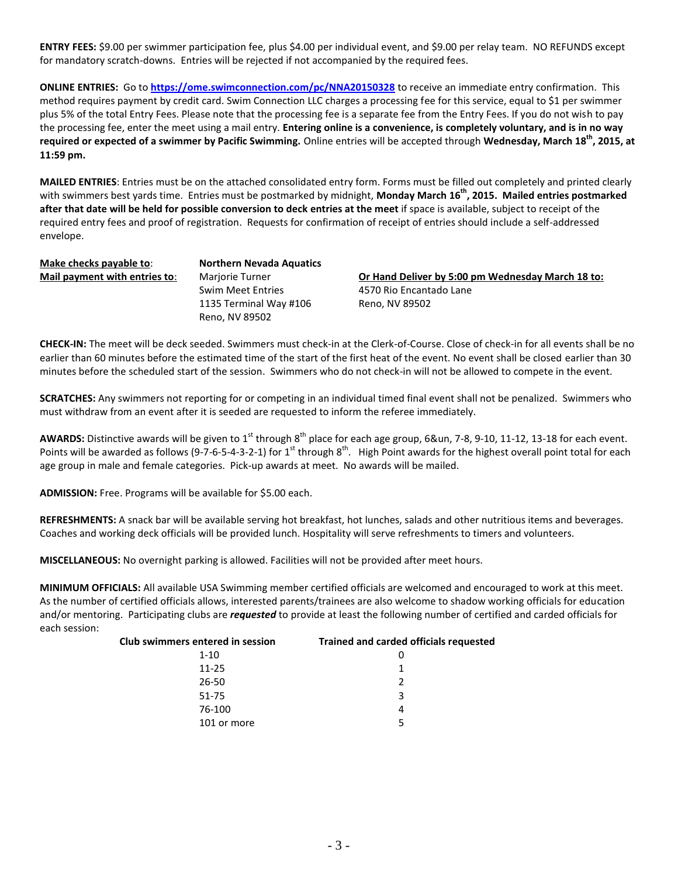**ENTRY FEES:** \$9.00 per swimmer participation fee, plus \$4.00 per individual event, and \$9.00 per relay team. NO REFUNDS except for mandatory scratch-downs. Entries will be rejected if not accompanied by the required fees.

**ONLINE ENTRIES:** Go to **<https://ome.swimconnection.com/pc/NNA20150328>** to receive an immediate entry confirmation. This method requires payment by credit card. Swim Connection LLC charges a processing fee for this service, equal to \$1 per swimmer plus 5% of the total Entry Fees. Please note that the processing fee is a separate fee from the Entry Fees. If you do not wish to pay the processing fee, enter the meet using a mail entry. **Entering online is a convenience, is completely voluntary, and is in no way required or expected of a swimmer by Pacific Swimming.** Online entries will be accepted through **Wednesday, March 18 th, 2015, at 11:59 pm.**

**MAILED ENTRIES**: Entries must be on the attached consolidated entry form. Forms must be filled out completely and printed clearly with swimmers best yards time. Entries must be postmarked by midnight, **Monday March 16 th, 2015. Mailed entries postmarked after that date will be held for possible conversion to deck entries at the meet** if space is available, subject to receipt of the required entry fees and proof of registration. Requests for confirmation of receipt of entries should include a self-addressed envelope.

**Make checks payable to**: **Northern Nevada Aquatics**

Swim Meet Entries 4570 Rio Encantado Lane 1135 Terminal Way #106 Reno, NV 89502 Reno, NV 89502

**Mail payment with entries to:** Marjorie Turner **Or Hand Deliver by 5:00 pm Wednesday March 18 to:** 

**CHECK-IN:** The meet will be deck seeded. Swimmers must check-in at the Clerk-of-Course. Close of check-in for all events shall be no earlier than 60 minutes before the estimated time of the start of the first heat of the event. No event shall be closed earlier than 30 minutes before the scheduled start of the session. Swimmers who do not check-in will not be allowed to compete in the event.

**SCRATCHES:** Any swimmers not reporting for or competing in an individual timed final event shall not be penalized. Swimmers who must withdraw from an event after it is seeded are requested to inform the referee immediately.

AWARDS: Distinctive awards will be given to 1<sup>st</sup> through 8<sup>th</sup> place for each age group, 6&un, 7-8, 9-10, 11-12, 13-18 for each event. Points will be awarded as follows (9-7-6-5-4-3-2-1) for  $1^{st}$  through  $8^{th}$ . High Point awards for the highest overall point total for each age group in male and female categories. Pick-up awards at meet. No awards will be mailed.

**ADMISSION:** Free. Programs will be available for \$5.00 each.

**REFRESHMENTS:** A snack bar will be available serving hot breakfast, hot lunches, salads and other nutritious items and beverages. Coaches and working deck officials will be provided lunch. Hospitality will serve refreshments to timers and volunteers.

**MISCELLANEOUS:** No overnight parking is allowed. Facilities will not be provided after meet hours.

**MINIMUM OFFICIALS:** All available USA Swimming member certified officials are welcomed and encouraged to work at this meet. As the number of certified officials allows, interested parents/trainees are also welcome to shadow working officials for education and/or mentoring. Participating clubs are *requested* to provide at least the following number of certified and carded officials for each session:

| Club swimmers entered in session | <b>Trained and carded officials requested</b> |
|----------------------------------|-----------------------------------------------|
| $1 - 10$                         | 0                                             |
| $11 - 25$                        |                                               |
| 26-50                            | 2                                             |
| 51-75                            | 3                                             |
| 76-100                           | 4                                             |
| 101 or more                      | -5                                            |
|                                  |                                               |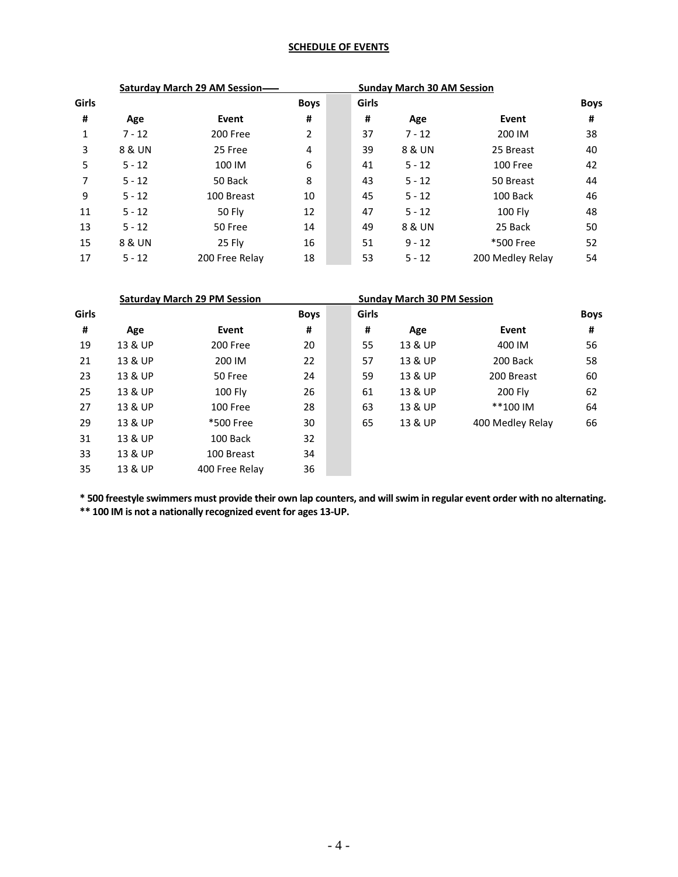# **SCHEDULE OF EVENTS**

| Saturday March 29 AM Session- |          |                |             |       | <b>Sunday March 30 AM Session</b> |                  |             |
|-------------------------------|----------|----------------|-------------|-------|-----------------------------------|------------------|-------------|
| Girls                         |          |                | <b>Boys</b> | Girls |                                   |                  | <b>Boys</b> |
| #                             | Age      | Event          | #           | #     | Age                               | Event            | #           |
|                               | $7 - 12$ | 200 Free       | 2           | 37    | $7 - 12$                          | 200 IM           | 38          |
| 3                             | 8 & UN   | 25 Free        | 4           | 39    | 8 & UN                            | 25 Breast        | 40          |
| 5                             | $5 - 12$ | 100 IM         | 6           | 41    | $5 - 12$                          | 100 Free         | 42          |
| 7                             | $5 - 12$ | 50 Back        | 8           | 43    | $5 - 12$                          | 50 Breast        | 44          |
| 9                             | $5 - 12$ | 100 Breast     | 10          | 45    | $5 - 12$                          | 100 Back         | 46          |
| 11                            | $5 - 12$ | <b>50 Flv</b>  | 12          | 47    | $5 - 12$                          | <b>100 Fly</b>   | 48          |
| 13                            | $5 - 12$ | 50 Free        | 14          | 49    | 8 & UN                            | 25 Back          | 50          |
| 15                            | 8 & UN   | 25 Fly         | 16          | 51    | $9 - 12$                          | *500 Free        | 52          |
| 17                            | $5 - 12$ | 200 Free Relay | 18          | 53    | $5 - 12$                          | 200 Medley Relay | 54          |

|       | <b>Saturday March 29 PM Session</b> |                |             |  | <b>Sunday March 30 PM Session</b> |         |                  |             |
|-------|-------------------------------------|----------------|-------------|--|-----------------------------------|---------|------------------|-------------|
| Girls |                                     |                | <b>Boys</b> |  | Girls                             |         |                  | <b>Boys</b> |
| #     | Age                                 | Event          | #           |  | #                                 | Age     | Event            | #           |
| 19    | 13 & UP                             | 200 Free       | 20          |  | 55                                | 13 & UP | 400 IM           | 56          |
| 21    | 13 & UP                             | 200 IM         | 22          |  | 57                                | 13 & UP | 200 Back         | 58          |
| 23    | 13 & UP                             | 50 Free        | 24          |  | 59                                | 13 & UP | 200 Breast       | 60          |
| 25    | 13 & UP                             | <b>100 Fly</b> | 26          |  | 61                                | 13 & UP | <b>200 Flv</b>   | 62          |
| 27    | 13 & UP                             | 100 Free       | 28          |  | 63                                | 13 & UP | **100 IM         | 64          |
| 29    | 13 & UP                             | *500 Free      | 30          |  | 65                                | 13 & UP | 400 Medley Relay | 66          |
| 31    | 13 & UP                             | 100 Back       | 32          |  |                                   |         |                  |             |
| 33    | 13 & UP                             | 100 Breast     | 34          |  |                                   |         |                  |             |
| 35    | 13 & UP                             | 400 Free Relay | 36          |  |                                   |         |                  |             |

**\* 500 freestyle swimmers must provide their own lap counters, and will swim in regular event order with no alternating. \*\* 100 IM is not a nationally recognized event for ages 13-UP.**